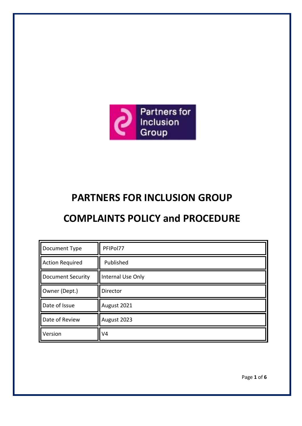

# **PARTNERS FOR INCLUSION GROUP**

## **COMPLAINTS POLICY and PROCEDURE**

| Document Type            | PFIPol77          |
|--------------------------|-------------------|
| <b>Action Required</b>   | Published         |
| <b>Document Security</b> | Internal Use Only |
| Owner (Dept.)            | Director          |
| Date of Issue            | August 2021       |
| Date of Review           | August 2023       |
| Version                  | V4                |

Page **1** of **6**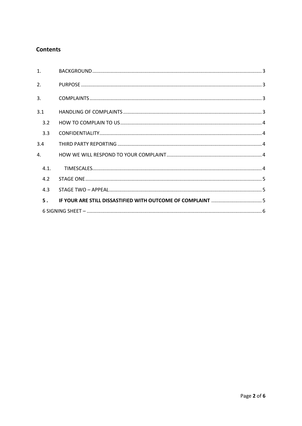## **Contents**

| $\mathbf{1}$ . |  |  |  |
|----------------|--|--|--|
| 2.             |  |  |  |
| 3.             |  |  |  |
| 3.1            |  |  |  |
| 3.2            |  |  |  |
| 3.3            |  |  |  |
| 3.4            |  |  |  |
| 4.             |  |  |  |
| 4.1.           |  |  |  |
| 4.2            |  |  |  |
| 4.3            |  |  |  |
| 5.             |  |  |  |
|                |  |  |  |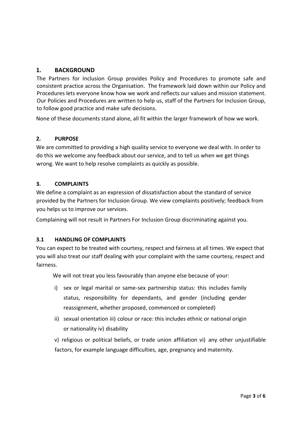### <span id="page-2-0"></span>**1. BACKGROUND**

The Partners for Inclusion Group provides Policy and Procedures to promote safe and consistent practice across the Organisation. The framework laid down within our Policy and Procedures lets everyone know how we work and reflects our values and mission statement. Our Policies and Procedures are written to help us, staff of the Partners for Inclusion Group, to follow good practice and make safe decisions.

None of these documents stand alone, all fit within the larger framework of how we work.

#### <span id="page-2-1"></span>**2. PURPOSE**

We are committed to providing a high quality service to everyone we deal with. In order to do this we welcome any feedback about our service, and to tell us when we get things wrong. We want to help resolve complaints as quickly as possible.

#### <span id="page-2-2"></span>**3. COMPLAINTS**

We define a complaint as an expression of dissatisfaction about the standard of service provided by the Partners for Inclusion Group. We view complaints positively; feedback from you helps us to improve our services.

Complaining will not result in Partners For Inclusion Group discriminating against you.

#### <span id="page-2-3"></span>**3.1 HANDLING OF COMPLAINTS**

You can expect to be treated with courtesy, respect and fairness at all times. We expect that you will also treat our staff dealing with your complaint with the same courtesy, respect and fairness.

We will not treat you less favourably than anyone else because of your:

- i) sex or legal marital or same-sex partnership status: this includes family status, responsibility for dependants, and gender (including gender reassignment, whether proposed, commenced or completed)
- ii) sexual orientation iii) colour or race: this includes ethnic or national origin or nationality iv) disability

v) religious or political beliefs, or trade union affiliation vi) any other unjustifiable factors, for example language difficulties, age, pregnancy and maternity.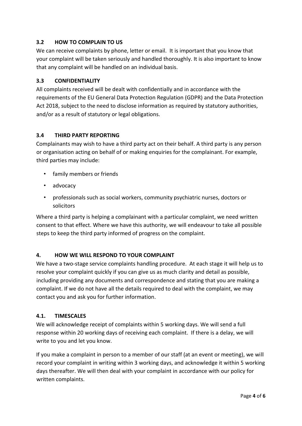#### <span id="page-3-0"></span>**3.2 HOW TO COMPLAIN TO US**

We can receive complaints by phone, letter or email. It is important that you know that your complaint will be taken seriously and handled thoroughly. It is also important to know that any complaint will be handled on an individual basis.

#### <span id="page-3-1"></span>**3.3 CONFIDENTIALITY**

All complaints received will be dealt with confidentially and in accordance with the requirements of the EU General Data Protection Regulation (GDPR) and the Data Protection Act 2018, subject to the need to disclose information as required by statutory authorities, and/or as a result of statutory or legal obligations.

#### <span id="page-3-2"></span>**3.4 THIRD PARTY REPORTING**

Complainants may wish to have a third party act on their behalf. A third party is any person or organisation acting on behalf of or making enquiries for the complainant. For example, third parties may include:

- family members or friends
- advocacy
- professionals such as social workers, community psychiatric nurses, doctors or solicitors

Where a third party is helping a complainant with a particular complaint, we need written consent to that effect. Where we have this authority, we will endeavour to take all possible steps to keep the third party informed of progress on the complaint.

#### <span id="page-3-3"></span>**4. HOW WE WILL RESPOND TO YOUR COMPLAINT**

We have a two-stage service complaints handling procedure. At each stage it will help us to resolve your complaint quickly if you can give us as much clarity and detail as possible, including providing any documents and correspondence and stating that you are making a complaint. If we do not have all the details required to deal with the complaint, we may contact you and ask you for further information.

#### <span id="page-3-4"></span>**4.1. TIMESCALES**

We will acknowledge receipt of complaints within 5 working days. We will send a full response within 20 working days of receiving each complaint. If there is a delay, we will write to you and let you know.

If you make a complaint in person to a member of our staff (at an event or meeting), we will record your complaint in writing within 3 working days, and acknowledge it within 5 working days thereafter. We will then deal with your complaint in accordance with our policy for written complaints.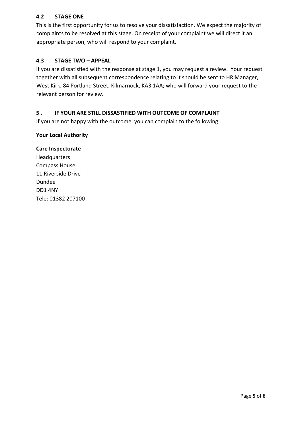#### <span id="page-4-0"></span>**4.2 STAGE ONE**

This is the first opportunity for us to resolve your dissatisfaction. We expect the majority of complaints to be resolved at this stage. On receipt of your complaint we will direct it an appropriate person, who will respond to your complaint.

#### <span id="page-4-1"></span>**4.3 STAGE TWO – APPEAL**

If you are dissatisfied with the response at stage 1, you may request a review. Your request together with all subsequent correspondence relating to it should be sent to HR Manager, West Kirk, 84 Portland Street, Kilmarnock, KA3 1AA; who will forward your request to the relevant person for review.

#### <span id="page-4-2"></span>**5 . IF YOUR ARE STILL DISSASTIFIED WITH OUTCOME OF COMPLAINT**

If you are not happy with the outcome, you can complain to the following:

#### **Your Local Authority**

#### **Care Inspectorate**

Headquarters Compass House 11 Riverside Drive Dundee DD1 4NY Tele: 01382 207100